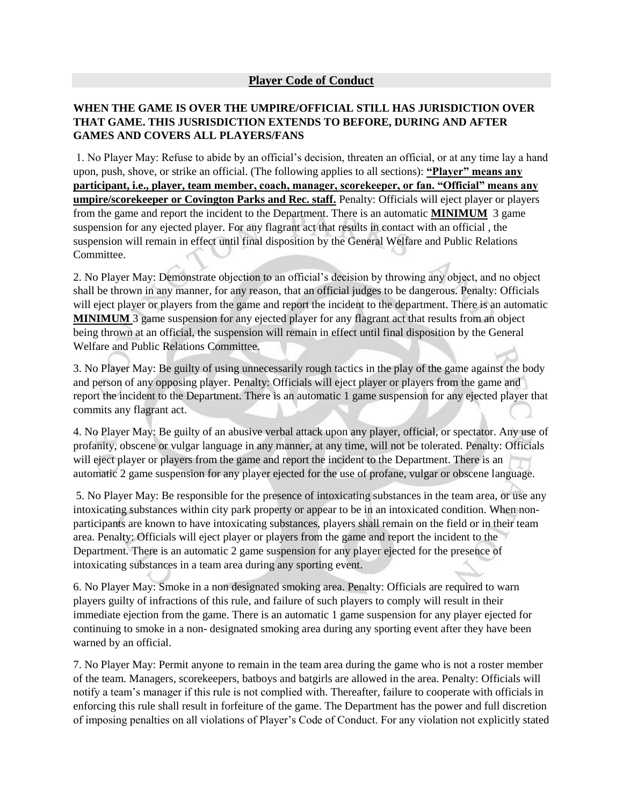## **WHEN THE GAME IS OVER THE UMPIRE/OFFICIAL STILL HAS JURISDICTION OVER THAT GAME. THIS JUSRISDICTION EXTENDS TO BEFORE, DURING AND AFTER GAMES AND COVERS ALL PLAYERS/FANS**

1. No Player May: Refuse to abide by an official's decision, threaten an official, or at any time lay a hand upon, push, shove, or strike an official. (The following applies to all sections): **"Player" means any participant, i.e., player, team member, coach, manager, scorekeeper, or fan. "Official" means any umpire/scorekeeper or Covington Parks and Rec. staff.** Penalty: Officials will eject player or players from the game and report the incident to the Department. There is an automatic **MINIMUM** 3 game suspension for any ejected player. For any flagrant act that results in contact with an official , the suspension will remain in effect until final disposition by the General Welfare and Public Relations Committee.

2. No Player May: Demonstrate objection to an official's decision by throwing any object, and no object shall be thrown in any manner, for any reason, that an official judges to be dangerous. Penalty: Officials will eject player or players from the game and report the incident to the department. There is an automatic **MINIMUM** 3 game suspension for any ejected player for any flagrant act that results from an object being thrown at an official, the suspension will remain in effect until final disposition by the General Welfare and Public Relations Committee.

3. No Player May: Be guilty of using unnecessarily rough tactics in the play of the game against the body and person of any opposing player. Penalty: Officials will eject player or players from the game and report the incident to the Department. There is an automatic 1 game suspension for any ejected player that commits any flagrant act.

4. No Player May: Be guilty of an abusive verbal attack upon any player, official, or spectator. Any use of profanity, obscene or vulgar language in any manner, at any time, will not be tolerated. Penalty: Officials will eject player or players from the game and report the incident to the Department. There is an automatic 2 game suspension for any player ejected for the use of profane, vulgar or obscene language.

5. No Player May: Be responsible for the presence of intoxicating substances in the team area, or use any intoxicating substances within city park property or appear to be in an intoxicated condition. When nonparticipants are known to have intoxicating substances, players shall remain on the field or in their team area. Penalty: Officials will eject player or players from the game and report the incident to the Department. There is an automatic 2 game suspension for any player ejected for the presence of intoxicating substances in a team area during any sporting event.

6. No Player May: Smoke in a non designated smoking area. Penalty: Officials are required to warn players guilty of infractions of this rule, and failure of such players to comply will result in their immediate ejection from the game. There is an automatic 1 game suspension for any player ejected for continuing to smoke in a non- designated smoking area during any sporting event after they have been warned by an official.

7. No Player May: Permit anyone to remain in the team area during the game who is not a roster member of the team. Managers, scorekeepers, batboys and batgirls are allowed in the area. Penalty: Officials will notify a team's manager if this rule is not complied with. Thereafter, failure to cooperate with officials in enforcing this rule shall result in forfeiture of the game. The Department has the power and full discretion of imposing penalties on all violations of Player's Code of Conduct. For any violation not explicitly stated